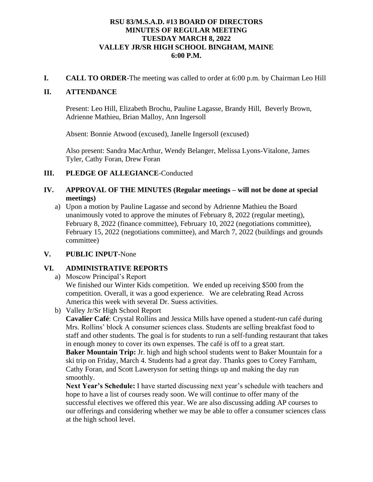## **RSU 83/M.S.A.D. #13 BOARD OF DIRECTORS MINUTES OF REGULAR MEETING TUESDAY MARCH 8, 2022 VALLEY JR/SR HIGH SCHOOL BINGHAM, MAINE 6:00 P.M.**

**I. CALL TO ORDER**-The meeting was called to order at 6:00 p.m. by Chairman Leo Hill

#### **II. ATTENDANCE**

Present: Leo Hill, Elizabeth Brochu, Pauline Lagasse, Brandy Hill, Beverly Brown, Adrienne Mathieu, Brian Malloy, Ann Ingersoll

Absent: Bonnie Atwood (excused), Janelle Ingersoll (excused)

Also present: Sandra MacArthur, Wendy Belanger, Melissa Lyons-Vitalone, James Tyler, Cathy Foran, Drew Foran

#### **III. PLEDGE OF ALLEGIANCE**-Conducted

### **IV. APPROVAL OF THE MINUTES (Regular meetings – will not be done at special meetings)**

a) Upon a motion by Pauline Lagasse and second by Adrienne Mathieu the Board unanimously voted to approve the minutes of February 8, 2022 (regular meeting), February 8, 2022 (finance committee), February 10, 2022 (negotiations committee), February 15, 2022 (negotiations committee), and March 7, 2022 (buildings and grounds committee)

## **V. PUBLIC INPUT-**None

## **VI. ADMINISTRATIVE REPORTS**

a) Moscow Principal's Report We finished our Winter Kids competition. We ended up receiving \$500 from the competition. Overall, it was a good experience. We are celebrating Read Across America this week with several Dr. Suess activities.

b) Valley Jr/Sr High School Report

**Cavalier Café**: Crystal Rollins and Jessica Mills have opened a student-run café during Mrs. Rollins' block A consumer sciences class. Students are selling breakfast food to staff and other students. The goal is for students to run a self-funding restaurant that takes in enough money to cover its own expenses. The café is off to a great start. **Baker Mountain Trip:** Jr. high and high school students went to Baker Mountain for a ski trip on Friday, March 4. Students had a great day. Thanks goes to Corey Farnham, Cathy Foran, and Scott Laweryson for setting things up and making the day run smoothly.

**Next Year's Schedule:** I have started discussing next year's schedule with teachers and hope to have a list of courses ready soon. We will continue to offer many of the successful electives we offered this year. We are also discussing adding AP courses to our offerings and considering whether we may be able to offer a consumer sciences class at the high school level.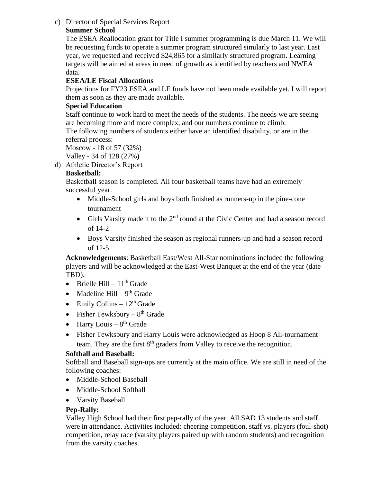# c) Director of Special Services Report

# **Summer School**

The ESEA Reallocation grant for Title I summer programming is due March 11. We will be requesting funds to operate a summer program structured similarly to last year. Last year, we requested and received \$24,865 for a similarly structured program. Learning targets will be aimed at areas in need of growth as identified by teachers and NWEA data.

# **ESEA/LE Fiscal Allocations**

Projections for FY23 ESEA and LE funds have not been made available yet. I will report them as soon as they are made available.

## **Special Education**

Staff continue to work hard to meet the needs of the students. The needs we are seeing are becoming more and more complex, and our numbers continue to climb.

The following numbers of students either have an identified disability, or are in the referral process:

Moscow - 18 of 57 (32%)

Valley - 34 of 128 (27%)

d) Athletic Director's Report

## **Basketball:**

Basketball season is completed. All four basketball teams have had an extremely successful year.

- Middle-School girls and boys both finished as runners-up in the pine-cone tournament
- Girls Varsity made it to the 2<sup>nd</sup> round at the Civic Center and had a season record of 14-2
- Boys Varsity finished the season as regional runners-up and had a season record of 12-5

**Acknowledgements**: Basketball East/West All-Star nominations included the following players and will be acknowledged at the East-West Banquet at the end of the year (date TBD).

- Brielle Hill  $11<sup>th</sup>$  Grade
- Madeline Hill  $9<sup>th</sup>$  Grade
- Emily Collins  $-12^{th}$  Grade
- Fisher Tewksbury  $8^{th}$  Grade
- Harry Louis  $8<sup>th</sup>$  Grade
- Fisher Tewksbury and Harry Louis were acknowledged as Hoop 8 All-tournament team. They are the first  $8<sup>th</sup>$  graders from Valley to receive the recognition.

# **Softball and Baseball:**

Softball and Baseball sign-ups are currently at the main office. We are still in need of the following coaches:

- Middle-School Baseball
- Middle-School Softball
- Varsity Baseball

# **Pep-Rally:**

Valley High School had their first pep-rally of the year. All SAD 13 students and staff were in attendance. Activities included: cheering competition, staff vs. players (foul-shot) competition, relay race (varsity players paired up with random students) and recognition from the varsity coaches.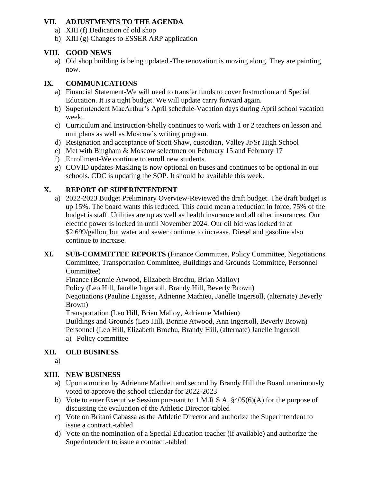# **VII. ADJUSTMENTS TO THE AGENDA**

- a) XIII (f) Dedication of old shop
- b) XIII (g) Changes to ESSER ARP application

# **VIII. GOOD NEWS**

a) Old shop building is being updated.-The renovation is moving along. They are painting now.

# **IX. COMMUNICATIONS**

- a) Financial Statement-We will need to transfer funds to cover Instruction and Special Education. It is a tight budget. We will update carry forward again.
- b) Superintendent MacArthur's April schedule-Vacation days during April school vacation week.
- c) Curriculum and Instruction-Shelly continues to work with 1 or 2 teachers on lesson and unit plans as well as Moscow's writing program.
- d) Resignation and acceptance of Scott Shaw, custodian, Valley Jr/Sr High School
- e) Met with Bingham & Moscow selectmen on February 15 and February 17
- f) Enrollment-We continue to enroll new students.
- g) COVID updates-Masking is now optional on buses and continues to be optional in our schools. CDC is updating the SOP. It should be available this week.

# **X. REPORT OF SUPERINTENDENT**

- a) 2022-2023 Budget Preliminary Overview-Reviewed the draft budget. The draft budget is up 15%. The board wants this reduced. This could mean a reduction in force, 75% of the budget is staff. Utilities are up as well as health insurance and all other insurances. Our electric power is locked in until November 2024. Our oil bid was locked in at \$2.699/gallon, but water and sewer continue to increase. Diesel and gasoline also continue to increase.
- **XI. SUB-COMMITTEE REPORTS** (Finance Committee, Policy Committee, Negotiations Committee, Transportation Committee, Buildings and Grounds Committee, Personnel Committee)

Finance (Bonnie Atwood, Elizabeth Brochu, Brian Malloy)

Policy (Leo Hill, Janelle Ingersoll, Brandy Hill, Beverly Brown)

Negotiations (Pauline Lagasse, Adrienne Mathieu, Janelle Ingersoll, (alternate) Beverly Brown)

Transportation (Leo Hill, Brian Malloy, Adrienne Mathieu)

Buildings and Grounds (Leo Hill, Bonnie Atwood, Ann Ingersoll, Beverly Brown) Personnel (Leo Hill, Elizabeth Brochu, Brandy Hill, (alternate) Janelle Ingersoll a) Policy committee

# **XII. OLD BUSINESS**

a)

# **XIII. NEW BUSINESS**

- a) Upon a motion by Adrienne Mathieu and second by Brandy Hill the Board unanimously voted to approve the school calendar for 2022-2023
- b) Vote to enter Executive Session pursuant to 1 M.R.S.A. §405(6)(A) for the purpose of discussing the evaluation of the Athletic Director-tabled
- c) Vote on Britani Cabassa as the Athletic Director and authorize the Superintendent to issue a contract.-tabled
- d) Vote on the nomination of a Special Education teacher (if available) and authorize the Superintendent to issue a contract.-tabled